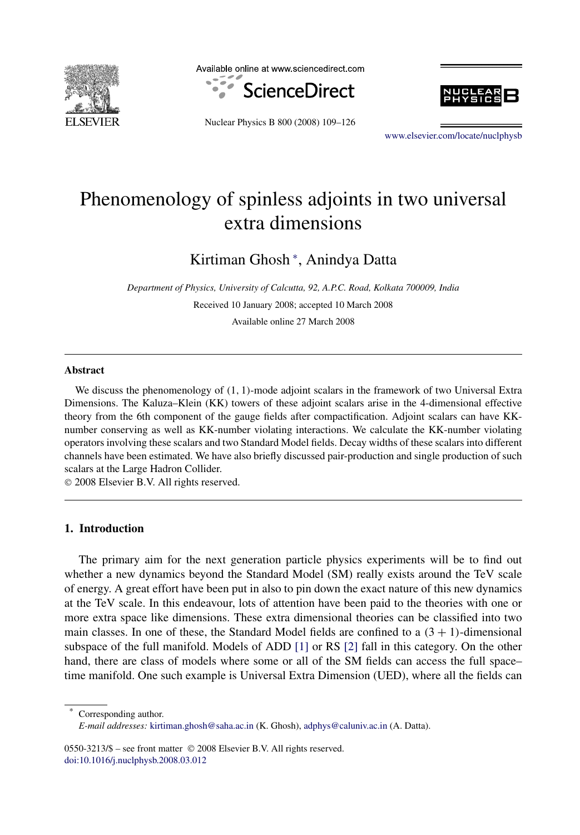

Available online at www.sciencedirect.com







[www.elsevier.com/locate/nuclphysb](http://www.elsevier.com/locate/nuclphysb)

# Phenomenology of spinless adjoints in two universal extra dimensions

Kirtiman Ghosh <sup>∗</sup> , Anindya Datta

*Department of Physics, University of Calcutta, 92, A.P.C. Road, Kolkata 700009, India* Received 10 January 2008; accepted 10 March 2008 Available online 27 March 2008

#### **Abstract**

We discuss the phenomenology of *(*1*,* 1*)*-mode adjoint scalars in the framework of two Universal Extra Dimensions. The Kaluza–Klein (KK) towers of these adjoint scalars arise in the 4-dimensional effective theory from the 6th component of the gauge fields after compactification. Adjoint scalars can have KKnumber conserving as well as KK-number violating interactions. We calculate the KK-number violating operators involving these scalars and two Standard Model fields. Decay widths of these scalars into different channels have been estimated. We have also briefly discussed pair-production and single production of such scalars at the Large Hadron Collider.

© 2008 Elsevier B.V. All rights reserved.

# **1. Introduction**

The primary aim for the next generation particle physics experiments will be to find out whether a new dynamics beyond the Standard Model (SM) really exists around the TeV scale of energy. A great effort have been put in also to pin down the exact nature of this new dynamics at the TeV scale. In this endeavour, lots of attention have been paid to the theories with one or more extra space like dimensions. These extra dimensional theories can be classified into two main classes. In one of these, the Standard Model fields are confined to a  $(3 + 1)$ -dimensional subspace of the full manifold. Models of ADD [\[1\]](#page-16-0) or RS [\[2\]](#page-16-0) fall in this category. On the other hand, there are class of models where some or all of the SM fields can access the full space– time manifold. One such example is Universal Extra Dimension (UED), where all the fields can

Corresponding author.

0550-3213/\$ – see front matter © 2008 Elsevier B.V. All rights reserved. [doi:10.1016/j.nuclphysb.2008.03.012](http://dx.doi.org/10.1016/j.nuclphysb.2008.03.012)

*E-mail addresses:* [kirtiman.ghosh@saha.ac.in](mailto:kirtiman.ghosh@saha.ac.in) (K. Ghosh), [adphys@caluniv.ac.in](mailto:adphys@caluniv.ac.in) (A. Datta).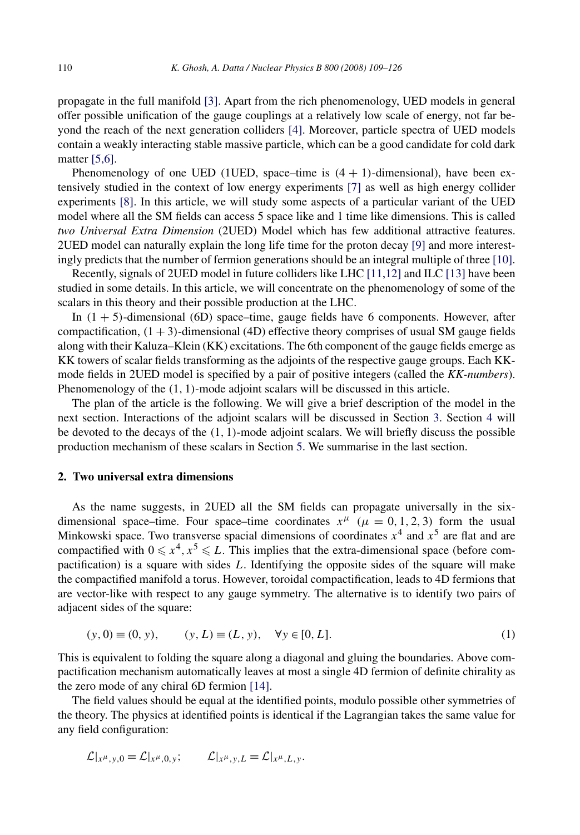propagate in the full manifold [\[3\].](#page-16-0) Apart from the rich phenomenology, UED models in general offer possible unification of the gauge couplings at a relatively low scale of energy, not far beyond the reach of the next generation colliders [\[4\].](#page-16-0) Moreover, particle spectra of UED models contain a weakly interacting stable massive particle, which can be a good candidate for cold dark matter [\[5,6\].](#page-16-0)

Phenomenology of one UED (1UED, space–time is  $(4 + 1)$ -dimensional), have been extensively studied in the context of low energy experiments [\[7\]](#page-16-0) as well as high energy collider experiments [\[8\].](#page-16-0) In this article, we will study some aspects of a particular variant of the UED model where all the SM fields can access 5 space like and 1 time like dimensions. This is called *two Universal Extra Dimension* (2UED) Model which has few additional attractive features. 2UED model can naturally explain the long life time for the proton decay [\[9\]](#page-16-0) and more interestingly predicts that the number of fermion generations should be an integral multiple of three [\[10\].](#page-17-0)

Recently, signals of 2UED model in future colliders like LHC [\[11,12\]](#page-17-0) and ILC [\[13\]](#page-17-0) have been studied in some details. In this article, we will concentrate on the phenomenology of some of the scalars in this theory and their possible production at the LHC.

In  $(1 + 5)$ -dimensional  $(6D)$  space–time, gauge fields have 6 components. However, after compactification,  $(1 + 3)$ -dimensional (4D) effective theory comprises of usual SM gauge fields along with their Kaluza–Klein (KK) excitations. The 6th component of the gauge fields emerge as KK towers of scalar fields transforming as the adjoints of the respective gauge groups. Each KKmode fields in 2UED model is specified by a pair of positive integers (called the *KK-numbers*). Phenomenology of the *(*1*,* 1*)*-mode adjoint scalars will be discussed in this article.

The plan of the article is the following. We will give a brief description of the model in the next section. Interactions of the adjoint scalars will be discussed in Section [3.](#page-4-0) Section [4](#page-5-0) will be devoted to the decays of the *(*1*,* 1*)*-mode adjoint scalars. We will briefly discuss the possible production mechanism of these scalars in Section [5.](#page-9-0) We summarise in the last section.

### **2. Two universal extra dimensions**

As the name suggests, in 2UED all the SM fields can propagate universally in the sixdimensional space–time. Four space–time coordinates  $x^{\mu}$  ( $\mu = 0, 1, 2, 3$ ) form the usual Minkowski space. Two transverse spacial dimensions of coordinates  $x^4$  and  $x^5$  are flat and are compactified with  $0 \le x^4, x^5 \le L$ . This implies that the extra-dimensional space (before compactification) is a square with sides *L*. Identifying the opposite sides of the square will make the compactified manifold a torus. However, toroidal compactification, leads to 4D fermions that are vector-like with respect to any gauge symmetry. The alternative is to identify two pairs of adjacent sides of the square:

$$
(y, 0) \equiv (0, y), \qquad (y, L) \equiv (L, y), \quad \forall y \in [0, L].
$$
 (1)

This is equivalent to folding the square along a diagonal and gluing the boundaries. Above compactification mechanism automatically leaves at most a single 4D fermion of definite chirality as the zero mode of any chiral 6D fermion [\[14\].](#page-17-0)

The field values should be equal at the identified points, modulo possible other symmetries of the theory. The physics at identified points is identical if the Lagrangian takes the same value for any field configuration:

$$
\mathcal{L}|_{x^{\mu},y,0} = \mathcal{L}|_{x^{\mu},0,y}; \qquad \mathcal{L}|_{x^{\mu},y,L} = \mathcal{L}|_{x^{\mu},L,y}.
$$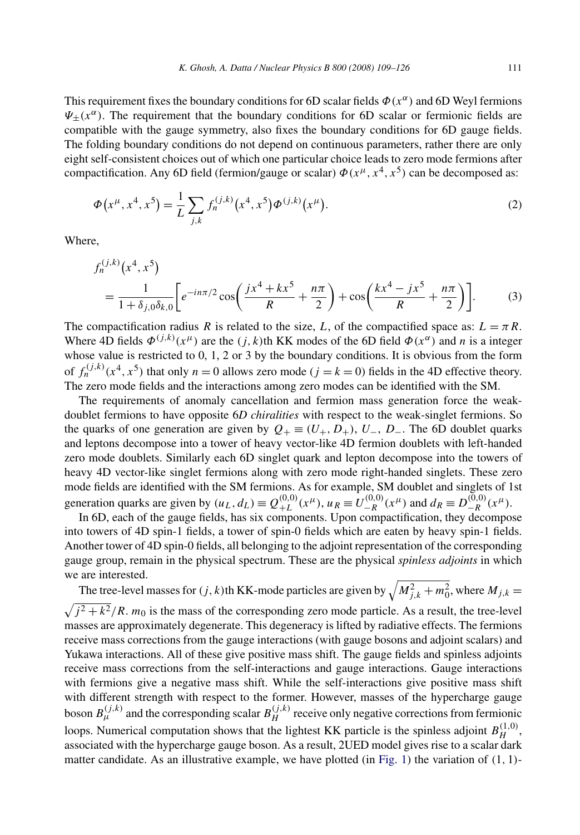This requirement fixes the boundary conditions for 6D scalar fields *Φ(xα)* and 6D Weyl fermions  $\Psi_{\pm}(x^{\alpha})$ . The requirement that the boundary conditions for 6D scalar or fermionic fields are compatible with the gauge symmetry, also fixes the boundary conditions for 6D gauge fields. The folding boundary conditions do not depend on continuous parameters, rather there are only eight self-consistent choices out of which one particular choice leads to zero mode fermions after compactification. Any 6D field (fermion/gauge or scalar)  $\Phi(x^{\mu}, x^4, x^5)$  can be decomposed as:

$$
\Phi(x^{\mu}, x^4, x^5) = \frac{1}{L} \sum_{j,k} f_n^{(j,k)}(x^4, x^5) \Phi^{(j,k)}(x^{\mu}).
$$
\n(2)

Where,

$$
f_n^{(j,k)}(x^4, x^5)
$$
  
=  $\frac{1}{1 + \delta_{j,0}\delta_{k,0}} \left[ e^{-in\pi/2} \cos\left(\frac{jx^4 + kx^5}{R} + \frac{n\pi}{2}\right) + \cos\left(\frac{kx^4 - jx^5}{R} + \frac{n\pi}{2}\right) \right].$  (3)

The compactification radius *R* is related to the size, *L*, of the compactified space as:  $L = \pi R$ . Where 4D fields  $\Phi^{(j,k)}(x^{\mu})$  are the *(j,k)*th KK modes of the 6D field  $\Phi(x^{\alpha})$  and *n* is a integer whose value is restricted to 0, 1, 2 or 3 by the boundary conditions. It is obvious from the form of  $f_n^{(j,k)}(x^4, x^5)$  that only  $n = 0$  allows zero mode ( $j = k = 0$ ) fields in the 4D effective theory. The zero mode fields and the interactions among zero modes can be identified with the SM.

The requirements of anomaly cancellation and fermion mass generation force the weakdoublet fermions to have opposite 6*D chiralities* with respect to the weak-singlet fermions. So the quarks of one generation are given by  $Q_+ \equiv (U_+, D_+), U_-, D_-.$  The 6D doublet quarks and leptons decompose into a tower of heavy vector-like 4D fermion doublets with left-handed zero mode doublets. Similarly each 6D singlet quark and lepton decompose into the towers of heavy 4D vector-like singlet fermions along with zero mode right-handed singlets. These zero mode fields are identified with the SM fermions. As for example, SM doublet and singlets of 1st generation quarks are given by  $(u_L, d_L) \equiv Q_{+L}^{(0,0)}(x^{\mu}), u_R \equiv U_{-R}^{(0,0)}(x^{\mu})$  and  $d_R \equiv D_{-R}^{(0,0)}(x^{\mu}).$ 

In 6D, each of the gauge fields, has six components. Upon compactification, they decompose into towers of 4D spin-1 fields, a tower of spin-0 fields which are eaten by heavy spin-1 fields. Another tower of 4D spin-0 fields, all belonging to the adjoint representation of the corresponding gauge group, remain in the physical spectrum. These are the physical *spinless adjoints* in which we are interested.

The tree-level masses for  $(j, k)$ th KK-mode particles are given by  $\sqrt{M_{j,k}^2 + m_0^2}$ , where  $M_{j,k} =$  $\sqrt{j^2 + k^2}/R$ . *m*<sub>0</sub> is the mass of the corresponding zero mode particle. As a result, the tree-level masses are approximately degenerate. This degeneracy is lifted by radiative effects. The fermions receive mass corrections from the gauge interactions (with gauge bosons and adjoint scalars) and Yukawa interactions. All of these give positive mass shift. The gauge fields and spinless adjoints receive mass corrections from the self-interactions and gauge interactions. Gauge interactions with fermions give a negative mass shift. While the self-interactions give positive mass shift with different strength with respect to the former. However, masses of the hypercharge gauge boson  $B_{\mu}^{(j,k)}$  and the corresponding scalar  $B_H^{(j,k)}$  receive only negative corrections from fermionic loops. Numerical computation shows that the lightest KK particle is the spinless adjoint  $B_H^{(1,0)}$ , associated with the hypercharge gauge boson. As a result, 2UED model gives rise to a scalar dark matter candidate. As an illustrative example, we have plotted (in [Fig. 1\)](#page-3-0) the variation of *(*1*,* 1*)*-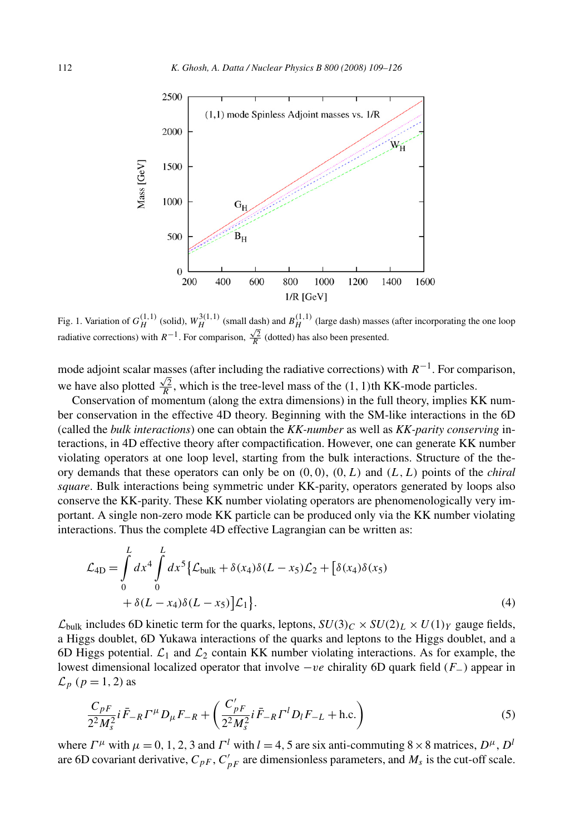<span id="page-3-0"></span>

Fig. 1. Variation of  $G_H^{(1,1)}$  (solid),  $W_H^{3(1,1)}$  (small dash) and  $B_H^{(1,1)}$  (large dash) masses (after incorporating the one loop radiative corrections) with  $R^{-1}$ . For comparison,  $\frac{\sqrt{2}}{R}$  (dotted) has also been presented.

mode adjoint scalar masses (after including the radiative corrections) with *R*−1. For comparison, we have also plotted  $\frac{\sqrt{2}}{R}$ , which is the tree-level mass of the (1, 1)th KK-mode particles.

Conservation of momentum (along the extra dimensions) in the full theory, implies KK number conservation in the effective 4D theory. Beginning with the SM-like interactions in the 6D (called the *bulk interactions*) one can obtain the *KK-number* as well as *KK-parity conserving* interactions, in 4D effective theory after compactification. However, one can generate KK number violating operators at one loop level, starting from the bulk interactions. Structure of the theory demands that these operators can only be on  $(0,0)$ ,  $(0,L)$  and  $(L,L)$  points of the *chiral square*. Bulk interactions being symmetric under KK-parity, operators generated by loops also conserve the KK-parity. These KK number violating operators are phenomenologically very important. A single non-zero mode KK particle can be produced only via the KK number violating interactions. Thus the complete 4D effective Lagrangian can be written as:

$$
\mathcal{L}_{4D} = \int_{0}^{L} dx^{4} \int_{0}^{L} dx^{5} \{ \mathcal{L}_{bulk} + \delta(x_{4})\delta(L - x_{5})\mathcal{L}_{2} + [\delta(x_{4})\delta(x_{5})
$$

$$
+ \delta(L - x_{4})\delta(L - x_{5})\mathcal{L}_{1} \}.
$$
(4)

 $\mathcal{L}_{bulk}$  includes 6D kinetic term for the quarks, leptons,  $SU(3)_C \times SU(2)_L \times U(1)_Y$  gauge fields, a Higgs doublet, 6D Yukawa interactions of the quarks and leptons to the Higgs doublet, and a 6D Higgs potential.  $\mathcal{L}_1$  and  $\mathcal{L}_2$  contain KK number violating interactions. As for example, the lowest dimensional localized operator that involve −*ve* chirality 6D quark field (*F*−) appear in  $\mathcal{L}_p$  ( $p = 1, 2$ ) as

$$
\frac{C_{pF}}{2^{2}M_{s}^{2}}i\bar{F}_{-R}\Gamma^{\mu}D_{\mu}F_{-R}+\left(\frac{C'_{pF}}{2^{2}M_{s}^{2}}i\bar{F}_{-R}\Gamma^{l}D_{l}F_{-L}+\text{h.c.}\right)
$$
(5)

where  $\Gamma^{\mu}$  with  $\mu = 0, 1, 2, 3$  and  $\Gamma^{l}$  with  $l = 4, 5$  are six anti-commuting  $8 \times 8$  matrices,  $D^{\mu}$ ,  $D^{l}$ are 6D covariant derivative,  $C_{pF}$ ,  $C'_{pF}$  are dimensionless parameters, and  $M_s$  is the cut-off scale.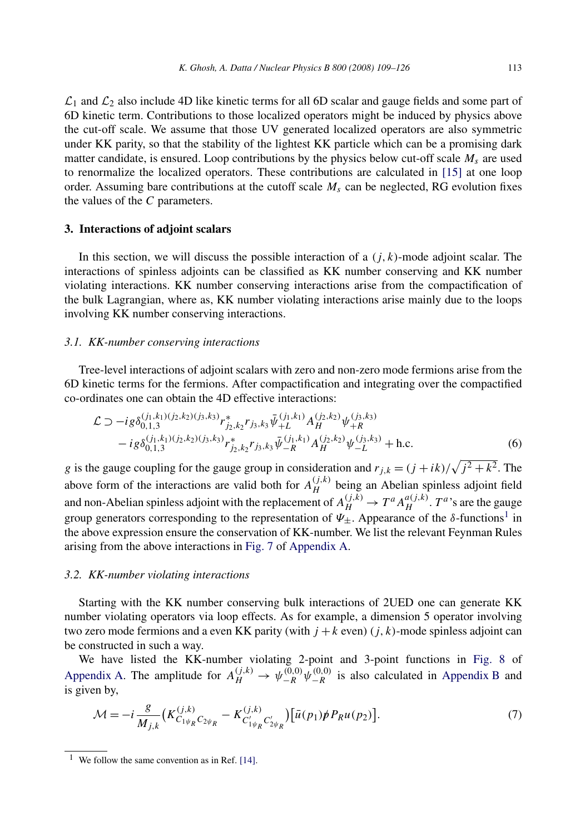<span id="page-4-0"></span> $\mathcal{L}_1$  and  $\mathcal{L}_2$  also include 4D like kinetic terms for all 6D scalar and gauge fields and some part of 6D kinetic term. Contributions to those localized operators might be induced by physics above the cut-off scale. We assume that those UV generated localized operators are also symmetric under KK parity, so that the stability of the lightest KK particle which can be a promising dark matter candidate, is ensured. Loop contributions by the physics below cut-off scale  $M_s$  are used to renormalize the localized operators. These contributions are calculated in [\[15\]](#page-17-0) at one loop order. Assuming bare contributions at the cutoff scale  $M_s$  can be neglected, RG evolution fixes the values of the *C* parameters.

### **3. Interactions of adjoint scalars**

In this section, we will discuss the possible interaction of a  $(j, k)$ -mode adjoint scalar. The interactions of spinless adjoints can be classified as KK number conserving and KK number violating interactions. KK number conserving interactions arise from the compactification of the bulk Lagrangian, where as, KK number violating interactions arise mainly due to the loops involving KK number conserving interactions.

#### *3.1. KK-number conserving interactions*

Tree-level interactions of adjoint scalars with zero and non-zero mode fermions arise from the 6D kinetic terms for the fermions. After compactification and integrating over the compactified co-ordinates one can obtain the 4D effective interactions:

$$
\mathcal{L} \supset -ig \delta_{0,1,3}^{(j_1,k_1)(j_2,k_2)(j_3,k_3)} r_{j_2,k_2}^* r_{j_3,k_3} \bar{\psi}_{+L}^{(j_1,k_1)} A_H^{(j_2,k_2)} \psi_{+R}^{(j_3,k_3)} -ig \delta_{0,1,3}^{(j_1,k_1)(j_2,k_2)(j_3,k_3)} r_{j_2,k_2}^* r_{j_3,k_3} \bar{\psi}_{-R}^{(j_1,k_1)} A_H^{(j_2,k_2)} \psi_{-L}^{(j_3,k_3)} + \text{h.c.}
$$
\n(6)

*g* is the gauge coupling for the gauge group in consideration and  $r_{j,k} = (j + ik)/\sqrt{j^2 + k^2}$ . The above form of the interactions are valid both for  $A_H^{(j,k)}$  being an Abelian spinless adjoint field and non-Abelian spinless adjoint with the replacement of  $A_H^{(j,k)} \to T^a A_H^{a(j,k)}$ .  $T^a$ 's are the gauge group generators corresponding to the representation of  $Ψ<sub>±</sub>$ . Appearance of the *δ*-functions<sup>1</sup> in the above expression ensure the conservation of KK-number. We list the relevant Feynman Rules arising from the above interactions in [Fig. 7](#page-13-0) of [Appendix A.](#page-13-0)

#### *3.2. KK-number violating interactions*

Starting with the KK number conserving bulk interactions of 2UED one can generate KK number violating operators via loop effects. As for example, a dimension 5 operator involving two zero mode fermions and a even KK parity (with  $j + k$  even)  $(j, k)$ -mode spinless adjoint can be constructed in such a way.

We have listed the KK-number violating 2-point and 3-point functions in [Fig. 8](#page-14-0) of [Appendix A.](#page-13-0) The amplitude for  $A_H^{(j,k)} \to \psi_{-R}^{(0,0)} \psi_{-R}^{(0,0)}$  is also calculated in [Appendix B](#page-13-0) and is given by,

$$
\mathcal{M} = -i \frac{g}{M_{j,k}} \left( K_{C_{1}\psi_{R}}^{(j,k)} C_{2\psi_{R}} - K_{C'_{1}\psi_{R}}^{(j,k)} C'_{2\psi_{R}} \right) \left[ \bar{u}(p_{1}) \not{p} P_{R} u(p_{2}) \right]. \tag{7}
$$

<sup>&</sup>lt;sup>1</sup> We follow the same convention as in Ref. [\[14\].](#page-17-0)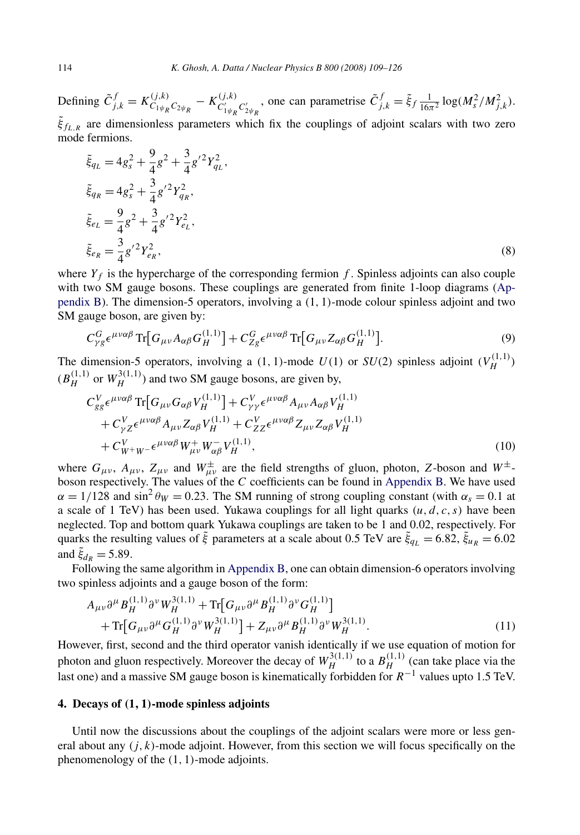<span id="page-5-0"></span>Defining  $\tilde{C}_{j,k}^f = K_{C_{1}\psi_R C_{2}\psi_R}^{(j,k)} - K_{C_{1}\psi_R C_{2}\psi_R}^{(j,k)}$ , one can parametrise  $\tilde{C}_{j,k}^f = \tilde{\xi}_f \frac{1}{16\pi^2} \log(M_s^2/M_{j,k}^2)$ . *ξ*˜ *fL,R* are dimensionless parameters which fix the couplings of adjoint scalars with two zero mode fermions.

$$
\tilde{\xi}_{q_L} = 4g_s^2 + \frac{9}{4}g^2 + \frac{3}{4}g'^2 Y_{q_L}^2,
$$
  
\n
$$
\tilde{\xi}_{q_R} = 4g_s^2 + \frac{3}{4}g'^2 Y_{q_R}^2,
$$
  
\n
$$
\tilde{\xi}_{e_L} = \frac{9}{4}g^2 + \frac{3}{4}g'^2 Y_{e_L}^2,
$$
  
\n
$$
\tilde{\xi}_{e_R} = \frac{3}{4}g'^2 Y_{e_R}^2,
$$
\n(8)

where  $Y_f$  is the hypercharge of the corresponding fermion  $f$ . Spinless adjoints can also couple with two SM gauge bosons. These couplings are generated from finite 1-loop diagrams [\(Ap](#page-13-0)[pendix B\)](#page-13-0). The dimension-5 operators, involving a *(*1*,* 1*)*-mode colour spinless adjoint and two SM gauge boson, are given by:

$$
C_{\gamma g}^G \epsilon^{\mu\nu\alpha\beta} \operatorname{Tr} [G_{\mu\nu} A_{\alpha\beta} G_H^{(1,1)}] + C_{Zg}^G \epsilon^{\mu\nu\alpha\beta} \operatorname{Tr} [G_{\mu\nu} Z_{\alpha\beta} G_H^{(1,1)}]. \tag{9}
$$

The dimension-5 operators, involving a (1, 1)-mode  $U(1)$  or  $SU(2)$  spinless adjoint  $(V_H^{(1,1)})$  $(B_H^{(1,1)}$  or  $W_H^{3(1,1)}$ ) and two SM gauge bosons, are given by,

$$
C_{gg}^V \epsilon^{\mu\nu\alpha\beta} \operatorname{Tr} [G_{\mu\nu} G_{\alpha\beta} V_H^{(1,1)}] + C_{\gamma\gamma}^V \epsilon^{\mu\nu\alpha\beta} A_{\mu\nu} A_{\alpha\beta} V_H^{(1,1)} + C_{\gamma Z}^V \epsilon^{\mu\nu\alpha\beta} A_{\mu\nu} Z_{\alpha\beta} V_H^{(1,1)} + C_{ZZ}^V \epsilon^{\mu\nu\alpha\beta} Z_{\mu\nu} Z_{\alpha\beta} V_H^{(1,1)} + C_{W^+W^-}^V \epsilon^{\mu\nu\alpha\beta} W_{\mu\nu}^+ W_{\alpha\beta}^- V_H^{(1,1)}, \tag{10}
$$

where  $G_{\mu\nu}$ ,  $A_{\mu\nu}$ ,  $Z_{\mu\nu}$  and  $W^{\pm}_{\mu\nu}$  are the field strengths of gluon, photon, *Z*-boson and  $W^{\pm}$ boson respectively. The values of the *C* coefficients can be found in [Appendix B.](#page-13-0) We have used  $\alpha = 1/128$  and sin<sup>2</sup>  $\theta_W = 0.23$ . The SM running of strong coupling constant (with  $\alpha_s = 0.1$  at a scale of 1 TeV) has been used. Yukawa couplings for all light quarks  $(u, d, c, s)$  have been neglected. Top and bottom quark Yukawa couplings are taken to be 1 and 0.02, respectively. For quarks the resulting values of *ξ* parameters at a scale about 0.5 TeV are  $\xi_{q_L} = 6.82$ ,  $\xi_{u_R} = 6.02$ and  $\xi_{dR} = 5.89$ .

Following the same algorithm in [Appendix B,](#page-13-0) one can obtain dimension-6 operators involving two spinless adjoints and a gauge boson of the form:

$$
A_{\mu\nu}\partial^{\mu}B_{H}^{(1,1)}\partial^{\nu}W_{H}^{3(1,1)} + \text{Tr}\big[G_{\mu\nu}\partial^{\mu}B_{H}^{(1,1)}\partial^{\nu}G_{H}^{(1,1)}\big] + \text{Tr}\big[G_{\mu\nu}\partial^{\mu}G_{H}^{(1,1)}\partial^{\nu}W_{H}^{3(1,1)}\big] + Z_{\mu\nu}\partial^{\mu}B_{H}^{(1,1)}\partial^{\nu}W_{H}^{3(1,1)}.
$$
(11)

However, first, second and the third operator vanish identically if we use equation of motion for photon and gluon respectively. Moreover the decay of  $W_H^{3(1,1)}$  to a  $B_H^{(1,1)}$  (can take place via the last one) and a massive SM gauge boson is kinematically forbidden for *R*−<sup>1</sup> values upto 1.5 TeV.

### **4. Decays of** *(***1***,* **1***)***-mode spinless adjoints**

Until now the discussions about the couplings of the adjoint scalars were more or less general about any *(j,k)*-mode adjoint. However, from this section we will focus specifically on the phenomenology of the *(*1*,* 1*)*-mode adjoints.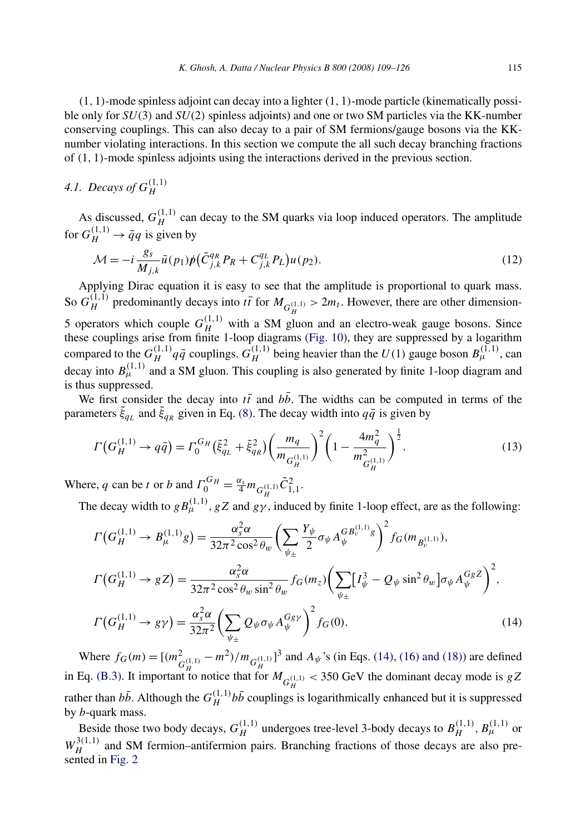*(*1*,* 1*)*-mode spinless adjoint can decay into a lighter *(*1*,* 1*)*-mode particle (kinematically possible only for *SU(*3*)* and *SU(*2*)* spinless adjoints) and one or two SM particles via the KK-number conserving couplings. This can also decay to a pair of SM fermions/gauge bosons via the KKnumber violating interactions. In this section we compute the all such decay branching fractions of *(*1*,* 1*)*-mode spinless adjoints using the interactions derived in the previous section.

# *4.1. Decays of*  $G_H^{(1,1)}$

As discussed,  $G_H^{(1,1)}$  can decay to the SM quarks via loop induced operators. The amplitude for  $G_H^{(1,1)} \to \bar{q}q$  is given by

$$
\mathcal{M} = -i \frac{g_s}{M_{j,k}} \bar{u}(p_1) p \left( \tilde{C}_{j,k}^{q_R} P_R + C_{j,k}^{q_L} P_L \right) u(p_2). \tag{12}
$$

Applying Dirac equation it is easy to see that the amplitude is proportional to quark mass. So  $G_H^{(1,1)}$  predominantly decays into  $t\bar{t}$  for  $M_{G_H^{(1,1)}} > 2m_t$ . However, there are other dimension-5 operators which couple  $G_H^{(1,1)}$  with a SM gluon and an electro-weak gauge bosons. Since these couplings arise from finite 1-loop diagrams [\(Fig. 10\)](#page-14-0), they are suppressed by a logarithm compared to the  $G_H^{(1,1)}q\bar{q}$  couplings.  $G_H^{(1,1)}$  being heavier than the  $U(1)$  gauge boson  $B_\mu^{(1,1)}$ , can decay into  $B_{\mu}^{(1,1)}$  and a SM gluon. This coupling is also generated by finite 1-loop diagram and is thus suppressed.

We first consider the decay into  $t\bar{t}$  and  $bb$ . The widths can be computed in terms of the parameters  $\xi_{q_L}$  and  $\xi_{q_R}$  given in Eq. [\(8\).](#page-5-0) The decay width into  $q\bar{q}$  is given by

$$
\Gamma\left(G_H^{(1,1)} \to q\bar{q}\right) = \Gamma_0^{G_H} \left(\tilde{\xi}_{q_L}^2 + \tilde{\xi}_{q_R}^2\right) \left(\frac{m_q}{m_{G_H^{(1,1)}}}\right)^2 \left(1 - \frac{4m_q^2}{m_{G_H^{(1,1)}}^2}\right)^{\frac{1}{2}}.\tag{13}
$$

Where, *q* can be *t* or *b* and  $\Gamma_0^{G_H} = \frac{\alpha_s}{4} m_{G_H^{(1,1)}} \tilde{C}_{1,1}^2$ .

The decay width to  $g B_{\mu}^{(1,1)}$ ,  $gZ$  and  $g\gamma$ , induced by finite 1-loop effect, are as the following:

$$
\Gamma\left(G_H^{(1,1)} \to B_\mu^{(1,1)}g\right) = \frac{\alpha_s^2 \alpha}{32\pi^2 \cos^2 \theta_w} \left(\sum_{\psi_{\pm}} \frac{Y_\psi}{2} \sigma_\psi A_\psi^{GB_\psi^{(1,1)}g}\right)^2 f_G(m_{B_\psi^{(1,1)}}),
$$
\n
$$
\Gamma\left(G_H^{(1,1)} \to gZ\right) = \frac{\alpha_s^2 \alpha}{32\pi^2 \cos^2 \theta_w \sin^2 \theta_w} f_G(m_z) \left(\sum_{\psi_{\pm}} [I_\psi^3 - Q_\psi \sin^2 \theta_w] \sigma_\psi A_\psi^{GBZ}\right)^2,
$$
\n
$$
\Gamma\left(G_H^{(1,1)} \to g\gamma\right) = \frac{\alpha_s^2 \alpha}{32\pi^2} \left(\sum_{\psi_{\pm}} Q_\psi \sigma_\psi A_\psi^{GBY}\right)^2 f_G(0).
$$
\n(14)

Where  $f_G(m) = \left[\frac{m_{G_H^{(1,1)}}^2 - m^2}{m_{H^{(1)}}^2}\right]$  and  $A_{\psi}$ 's (in Eqs. (14), (16) and (18)) are defined in Eq. [\(B.3\).](#page-14-0) It important to notice that for  $M_{G_H^{(1,1)}} < 350$  GeV the dominant decay mode is *gZ* rather than  $b\bar{b}$ . Although the  $G_H^{(1,1)}b\bar{b}$  couplings is logarithmically enhanced but it is suppressed by *b*-quark mass.

Beside those two body decays,  $G_H^{(1,1)}$  undergoes tree-level 3-body decays to  $B_H^{(1,1)}$ ,  $B_\mu^{(1,1)}$  or  $W_H^{3(1,1)}$  and SM fermion–antifermion pairs. Branching fractions of those decays are also presented in [Fig. 2](#page-7-0)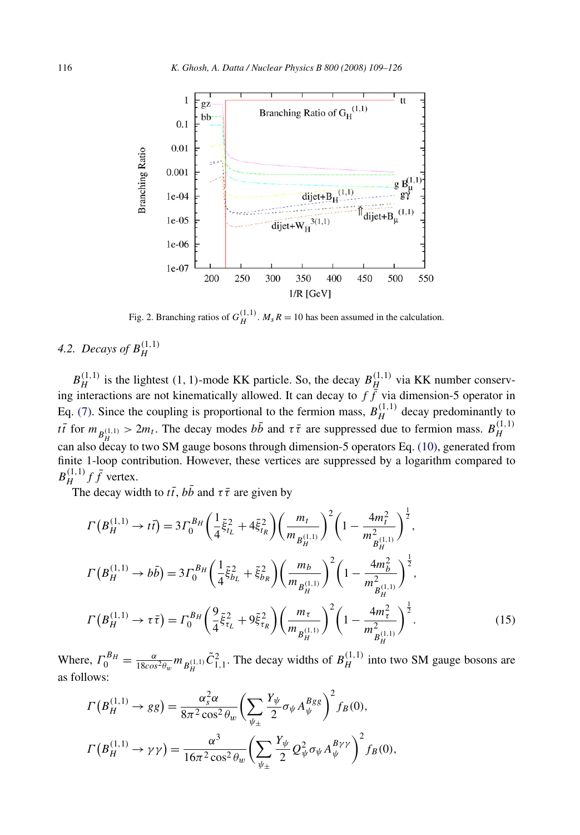<span id="page-7-0"></span>

Fig. 2. Branching ratios of  $G_H^{(1,1)}$ .  $M_s R = 10$  has been assumed in the calculation.

# *4.2. Decays of*  $B_H^{(1,1)}$

 $B_H^{(1,1)}$  is the lightest (1, 1)-mode KK particle. So, the decay  $B_H^{(1,1)}$  via KK number conserving interactions are not kinematically allowed. It can decay to  $f\dot{f}$  via dimension-5 operator in Eq. [\(7\).](#page-4-0) Since the coupling is proportional to the fermion mass,  $B_H^{(1,1)}$  decay predominantly to *tt* for  $m_{B_H^{(1,1)}} > 2m_t$ . The decay modes  $b\bar{b}$  and  $\tau\bar{\tau}$  are suppressed due to fermion mass.  $B_H^{(1,1)}$ *H* can also decay to two SM gauge bosons through dimension-5 operators Eq. [\(10\),](#page-5-0) generated from finite 1-loop contribution. However, these vertices are suppressed by a logarithm compared to  $B_H^{(1,1)} f \bar{f}$  vertex.

The decay width to  $t\bar{t}$ , *bb* and  $\tau\bar{\tau}$  are given by

$$
\Gamma(B_H^{(1,1)} \to t\bar{t}) = 3\Gamma_0^{B_H} \left(\frac{1}{4}\tilde{\xi}_{t_L}^2 + 4\tilde{\xi}_{t_R}^2\right) \left(\frac{m_t}{m_{B_H^{(1,1)}}}\right)^2 \left(1 - \frac{4m_t^2}{m_{B_H^{(1,1)}}^2}\right)^{\frac{1}{2}},
$$
\n
$$
\Gamma(B_H^{(1,1)} \to b\bar{b}) = 3\Gamma_0^{B_H} \left(\frac{1}{4}\tilde{\xi}_{b_L}^2 + \tilde{\xi}_{b_R}^2\right) \left(\frac{m_b}{m_{B_H^{(1,1)}}}\right)^2 \left(1 - \frac{4m_b^2}{m_{B_H^{(1,1)}}^2}\right)^{\frac{1}{2}},
$$
\n
$$
\Gamma(B_H^{(1,1)} \to \tau\bar{\tau}) = \Gamma_0^{B_H} \left(\frac{9}{4}\tilde{\xi}_{t_L}^2 + 9\tilde{\xi}_{t_R}^2\right) \left(\frac{m_{\tau}}{m_{B_H^{(1,1)}}}\right)^2 \left(1 - \frac{4m_{\tau}^2}{m_{B_H^{(1,1)}}^2}\right)^{\frac{1}{2}}.
$$
\n(15)

Where,  $\Gamma_0^{B_H} = \frac{\alpha}{18\cos^2\theta_w} m_{B_H^{(1,1)}} \tilde{C}_{1,1}^2$ . The decay widths of  $B_H^{(1,1)}$  into two SM gauge bosons are as follows:

$$
\Gamma(B_H^{(1,1)} \to gg) = \frac{\alpha_s^2 \alpha}{8\pi^2 \cos^2 \theta_w} \left( \sum_{\psi_{\pm}} \frac{Y_{\psi}}{2} \sigma_{\psi} A_{\psi}^{Bgg} \right)^2 f_B(0),
$$
  

$$
\Gamma(B_H^{(1,1)} \to \gamma \gamma) = \frac{\alpha^3}{16\pi^2 \cos^2 \theta_w} \left( \sum_{\psi_{\pm}} \frac{Y_{\psi}}{2} Q_{\psi}^2 \sigma_{\psi} A_{\psi}^{B\gamma \gamma} \right)^2 f_B(0),
$$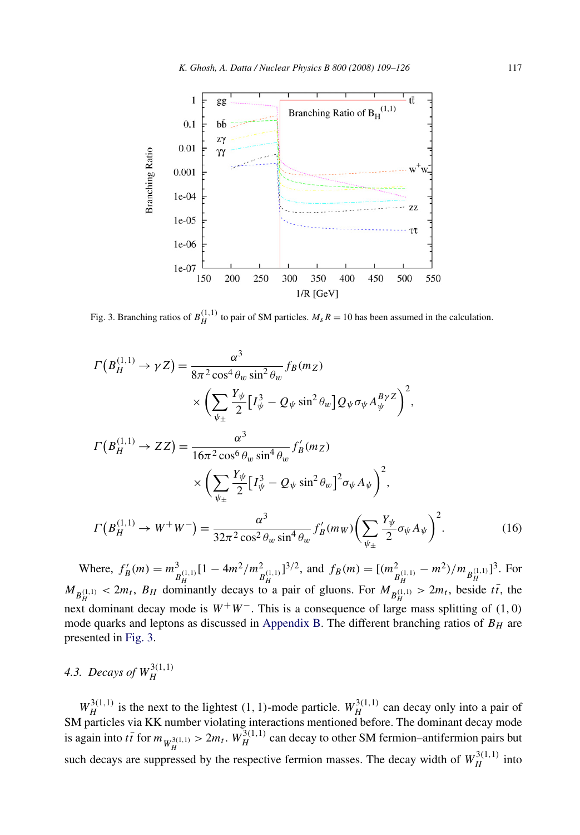

Fig. 3. Branching ratios of  $B_H^{(1,1)}$  to pair of SM particles.  $M_s R = 10$  has been assumed in the calculation.

$$
\Gamma(B_H^{(1,1)} \to \gamma Z) = \frac{\alpha^3}{8\pi^2 \cos^4 \theta_w \sin^2 \theta_w} f_B(m_Z)
$$
  

$$
\times \left( \sum_{\psi_{\pm}} \frac{Y_{\psi}}{2} \Big[ I_{\psi}^3 - Q_{\psi} \sin^2 \theta_w \Big] Q_{\psi} \sigma_{\psi} A_{\psi}^{B\gamma Z} \right)^2,
$$
  

$$
\Gamma(B_H^{(1,1)} \to ZZ) = \frac{\alpha^3}{16\pi^2 \cos^6 \theta_w \sin^4 \theta_w} f_B'(m_Z)
$$
  

$$
\times \left( \sum_{\psi_{\pm}} \frac{Y_{\psi}}{2} \Big[ I_{\psi}^3 - Q_{\psi} \sin^2 \theta_w \Big]^2 \sigma_{\psi} A_{\psi} \right)^2,
$$
  

$$
\Gamma(B_H^{(1,1)} \to W^+ W^-) = \frac{\alpha^3}{32\pi^2 \cos^2 \theta_w \sin^4 \theta_w} f_B'(m_W) \left( \sum_{\psi_{\pm}} \frac{Y_{\psi}}{2} \sigma_{\psi} A_{\psi} \right)^2.
$$
 (16)

Where,  $f'_B(m) = m_{B_H^{(1,1)}}^3 [1 - 4m^2/m_{B_H^{(1,1)}}^2]^{3/2}$ , and  $f_B(m) = [(m_{B_H^{(1,1)}}^2 - m^2)/m_{B_H^{(1,1)}}]^3$ . For  $M_{B_H^{(1,1)}} < 2m_t$ ,  $B_H$  dominantly decays to a pair of gluons. For  $M_{B_H^{(1,1)}} > 2m_t$ , beside  $t\bar{t}$ , the next dominant decay mode is  $W^+W^-$ . This is a consequence of large mass splitting of (1,0) mode quarks and leptons as discussed in [Appendix B.](#page-13-0) The different branching ratios of *BH* are presented in Fig. 3.

# *4.3. Decays of*  $W_H^{3(1,1)}$

 $W_H^{3(1,1)}$  is the next to the lightest (1, 1)-mode particle.  $W_H^{3(1,1)}$  can decay only into a pair of SM particles via KK number violating interactions mentioned before. The dominant decay mode is again into  $t\bar{t}$  for  $m_{W_H^{3(1,1)}} > 2m_t$ .  $W_H^{3(1,1)}$  can decay to other SM fermion–antifermion pairs but such decays are suppressed by the respective fermion masses. The decay width of  $W_H^{3(1,1)}$  into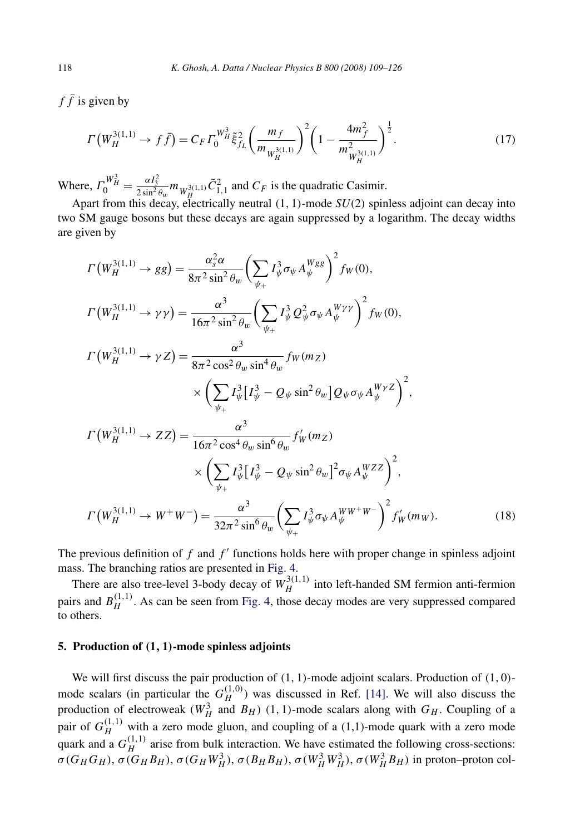<span id="page-9-0"></span> $f\bar{f}$  is given by

$$
\Gamma\left(W_H^{3(1,1)} \to f\bar{f}\right) = C_F \Gamma_0^{W_H^3} \tilde{\xi}_{f_L}^2 \left(\frac{m_f}{m_{W_H^{3(1,1)}}}\right)^2 \left(1 - \frac{4m_f^2}{m_{W_H^{3(1,1)}}^2}\right)^{\frac{1}{2}}.\tag{17}
$$

Where,  $\Gamma_0^{W_H^3} = \frac{\alpha I_3^2}{2 \sin^2 \theta_w} m_{W_H^{3(1,1)}} \tilde{C}_{1,1}^2$  and  $C_F$  is the quadratic Casimir.

Apart from this decay, electrically neutral *(*1*,* 1*)*-mode *SU(*2*)* spinless adjoint can decay into two SM gauge bosons but these decays are again suppressed by a logarithm. The decay widths are given by

$$
\Gamma(W_H^{3(1,1)} \to gg) = \frac{\alpha_s^2 \alpha}{8\pi^2 \sin^2 \theta_w} \left( \sum_{\psi_+} I_{\psi}^3 \sigma_{\psi} A_{\psi}^{Wgg} \right)^2 f_W(0),
$$
\n
$$
\Gamma(W_H^{3(1,1)} \to \gamma \gamma) = \frac{\alpha^3}{16\pi^2 \sin^2 \theta_w} \left( \sum_{\psi_+} I_{\psi}^3 Q_{\psi}^2 \sigma_{\psi} A_{\psi}^{W\gamma} \right)^2 f_W(0),
$$
\n
$$
\Gamma(W_H^{3(1,1)} \to \gamma Z) = \frac{\alpha^3}{8\pi^2 \cos^2 \theta_w \sin^4 \theta_w} f_W(m_Z)
$$
\n
$$
\times \left( \sum_{\psi_+} I_{\psi}^3 [I_{\psi}^3 - Q_{\psi} \sin^2 \theta_w] Q_{\psi} \sigma_{\psi} A_{\psi}^{W\gamma Z} \right)^2,
$$
\n
$$
\Gamma(W_H^{3(1,1)} \to ZZ) = \frac{\alpha^3}{16\pi^2 \cos^4 \theta_w \sin^6 \theta_w} f_W'(m_Z)
$$
\n
$$
\times \left( \sum_{\psi_+} I_{\psi}^3 [I_{\psi}^3 - Q_{\psi} \sin^2 \theta_w]^2 \sigma_{\psi} A_{\psi}^{WZZ} \right)^2,
$$
\n
$$
\Gamma(W_H^{3(1,1)} \to W^+ W^-) = \frac{\alpha^3}{32\pi^2 \sin^6 \theta_w} \left( \sum_{\psi_+} I_{\psi}^3 \sigma_{\psi} A_{\psi}^{WW^+ W^-} \right)^2 f_W'(m_W).
$$
\n(18)

The previous definition of  $f$  and  $f'$  functions holds here with proper change in spinless adjoint mass. The branching ratios are presented in [Fig. 4.](#page-10-0)

There are also tree-level 3-body decay of  $W_H^{3(1,1)}$  into left-handed SM fermion anti-fermion pairs and  $B_H^{(1,1)}$ . As can be seen from [Fig. 4,](#page-10-0) those decay modes are very suppressed compared to others.

### **5. Production of** *(***1***,* **1***)***-mode spinless adjoints**

We will first discuss the pair production of *(*1*,* 1*)*-mode adjoint scalars. Production of *(*1*,* 0*)* mode scalars (in particular the  $G_H^{(1,0)}$ ) was discussed in Ref. [\[14\].](#page-17-0) We will also discuss the production of electroweak ( $W_H^3$  and  $B_H$ ) (1, 1)-mode scalars along with  $G_H$ . Coupling of a pair of  $G_H^{(1,1)}$  with a zero mode gluon, and coupling of a (1,1)-mode quark with a zero mode quark and a  $G_H^{(1,1)}$  arise from bulk interaction. We have estimated the following cross-sections:  $\sigma(G_HG_H)$ ,  $\sigma(G_HB_H)$ ,  $\sigma(G_HW_H^3)$ ,  $\sigma(B_HB_H)$ ,  $\sigma(W_H^3W_H^3)$ ,  $\sigma(W_H^3B_H)$  in proton-proton col-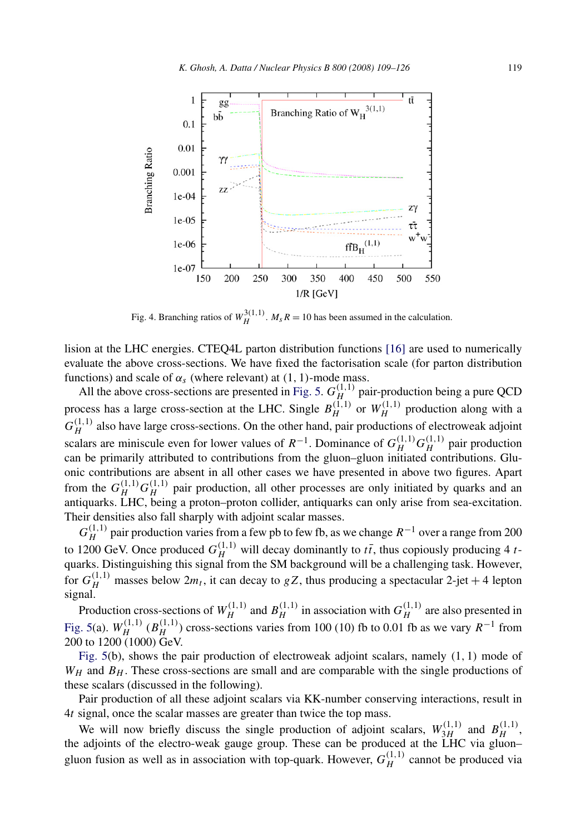<span id="page-10-0"></span>

Fig. 4. Branching ratios of  $W_H^{3(1,1)}$ .  $M_s R = 10$  has been assumed in the calculation.

lision at the LHC energies. CTEQ4L parton distribution functions [\[16\]](#page-17-0) are used to numerically evaluate the above cross-sections. We have fixed the factorisation scale (for parton distribution functions) and scale of  $\alpha_s$  (where relevant) at  $(1, 1)$ -mode mass.

All the above cross-sections are presented in [Fig. 5.](#page-11-0)  $G_H^{(1,1)}$  pair-production being a pure QCD process has a large cross-section at the LHC. Single  $B_H^{(1,1)}$  or  $W_H^{(1,1)}$  production along with a  $G_H^{(1,1)}$  also have large cross-sections. On the other hand, pair productions of electroweak adjoint scalars are miniscule even for lower values of  $R^{-1}$ . Dominance of  $G_H^{(1,1)} G_H^{(1,1)}$  pair production can be primarily attributed to contributions from the gluon–gluon initiated contributions. Gluonic contributions are absent in all other cases we have presented in above two figures. Apart from the  $G_H^{(1,1)} G_H^{(1,1)}$  pair production, all other processes are only initiated by quarks and an antiquarks. LHC, being a proton–proton collider, antiquarks can only arise from sea-excitation. Their densities also fall sharply with adjoint scalar masses.

 $G_H^{(1,1)}$  pair production varies from a few pb to few fb, as we change  $R^{-1}$  over a range from 200 to 1200 GeV. Once produced  $G_H^{(1,1)}$  will decay dominantly to  $t\bar{t}$ , thus copiously producing 4  $t$ quarks. Distinguishing this signal from the SM background will be a challenging task. However, for  $G_H^{(1,1)}$  masses below  $2m_t$ , it can decay to *gZ*, thus producing a spectacular 2-jet + 4 lepton signal.

Production cross-sections of  $W_H^{(1,1)}$  and  $B_H^{(1,1)}$  in association with  $G_H^{(1,1)}$  are also presented in [Fig. 5\(](#page-11-0)a).  $W_H^{(1,1)}$  ( $B_H^{(1,1)}$ ) cross-sections varies from 100 (10) fb to 0.01 fb as we vary  $R^{-1}$  from 200 to 1200 (1000) GeV.

[Fig. 5\(](#page-11-0)b), shows the pair production of electroweak adjoint scalars, namely *(*1*,* 1*)* mode of  $W_H$  and  $B_H$ . These cross-sections are small and are comparable with the single productions of these scalars (discussed in the following).

Pair production of all these adjoint scalars via KK-number conserving interactions, result in 4*t* signal, once the scalar masses are greater than twice the top mass.

We will now briefly discuss the single production of adjoint scalars,  $W_{3H}^{(1,1)}$  and  $B_H^{(1,1)}$ , the adjoints of the electro-weak gauge group. These can be produced at the LHC via gluon– gluon fusion as well as in association with top-quark. However,  $G_H^{(1,1)}$  cannot be produced via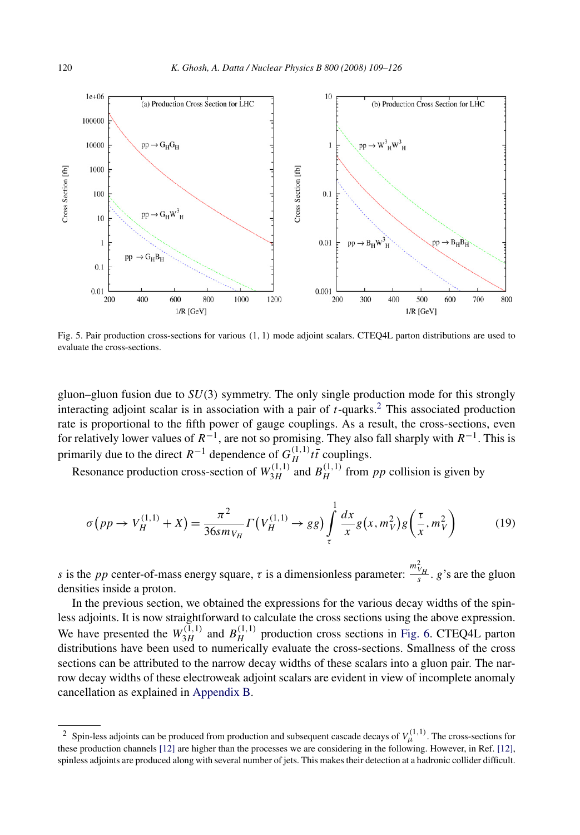<span id="page-11-0"></span>

Fig. 5. Pair production cross-sections for various *(*1*,* 1*)* mode adjoint scalars. CTEQ4L parton distributions are used to evaluate the cross-sections.

gluon–gluon fusion due to *SU(*3*)* symmetry. The only single production mode for this strongly interacting adjoint scalar is in association with a pair of *t*-quarks.2 This associated production rate is proportional to the fifth power of gauge couplings. As a result, the cross-sections, even for relatively lower values of *R*−1, are not so promising. They also fall sharply with *R*−1. This is primarily due to the direct  $R^{-1}$  dependence of  $G_H^{(1,1)}$  *tt* couplings.

Resonance production cross-section of  $W_{3H}^{(1,1)}$  and  $B_H^{(1,1)}$  from *pp* collision is given by

$$
\sigma(p p \to V_H^{(1,1)} + X) = \frac{\pi^2}{36 s m_{V_H}} \Gamma\left(V_H^{(1,1)} \to g g\right) \int_{\tau}^1 \frac{dx}{x} g\left(x, m_V^2\right) g\left(\frac{\tau}{x}, m_V^2\right) \tag{19}
$$

*s* is the *pp* center-of-mass energy square,  $\tau$  is a dimensionless parameter:  $\frac{m_{V_H}^2}{s}$ . *g*'s are the gluon densities inside a proton.

In the previous section, we obtained the expressions for the various decay widths of the spinless adjoints. It is now straightforward to calculate the cross sections using the above expression. We have presented the  $W_{3H}^{(1,1)}$  and  $B_H^{(1,1)}$  production cross sections in [Fig. 6.](#page-12-0) CTEQ4L parton distributions have been used to numerically evaluate the cross-sections. Smallness of the cross sections can be attributed to the narrow decay widths of these scalars into a gluon pair. The narrow decay widths of these electroweak adjoint scalars are evident in view of incomplete anomaly cancellation as explained in [Appendix B.](#page-13-0)

<sup>&</sup>lt;sup>2</sup> Spin-less adjoints can be produced from production and subsequent cascade decays of  $V_l^{(1,1)}$ . The cross-sections for these production channels [\[12\]](#page-17-0) are higher than the processes we are considering in the following. However, in Ref. [\[12\],](#page-17-0) spinless adjoints are produced along with several number of jets. This makes their detection at a hadronic collider difficult.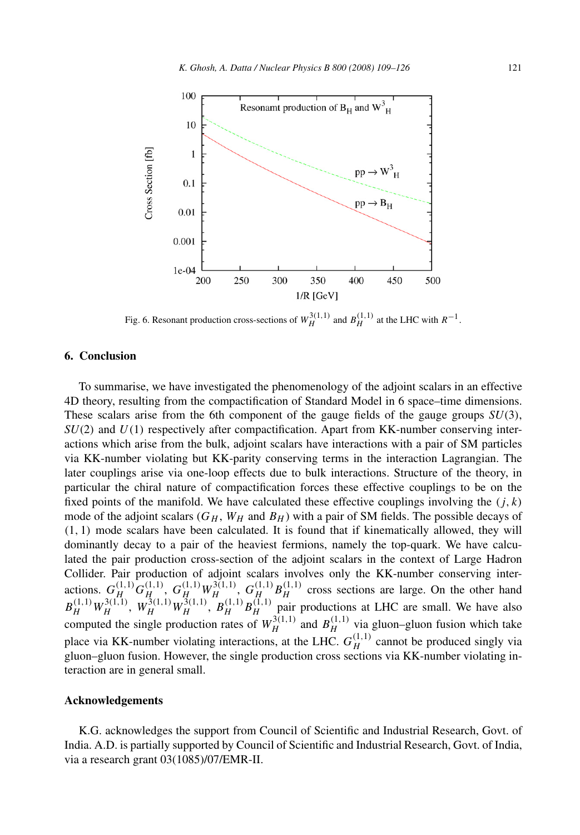<span id="page-12-0"></span>

Fig. 6. Resonant production cross-sections of  $W_H^{3(1,1)}$  and  $B_H^{(1,1)}$  at the LHC with  $R^{-1}$ .

### **6. Conclusion**

To summarise, we have investigated the phenomenology of the adjoint scalars in an effective 4D theory, resulting from the compactification of Standard Model in 6 space–time dimensions. These scalars arise from the 6th component of the gauge fields of the gauge groups *SU(*3*)*, *SU(*2*)* and *U(*1*)* respectively after compactification. Apart from KK-number conserving interactions which arise from the bulk, adjoint scalars have interactions with a pair of SM particles via KK-number violating but KK-parity conserving terms in the interaction Lagrangian. The later couplings arise via one-loop effects due to bulk interactions. Structure of the theory, in particular the chiral nature of compactification forces these effective couplings to be on the fixed points of the manifold. We have calculated these effective couplings involving the  $(j, k)$ mode of the adjoint scalars  $(G_H, W_H$  and  $B_H$ ) with a pair of SM fields. The possible decays of *(*1*,* 1*)* mode scalars have been calculated. It is found that if kinematically allowed, they will dominantly decay to a pair of the heaviest fermions, namely the top-quark. We have calculated the pair production cross-section of the adjoint scalars in the context of Large Hadron Collider. Pair production of adjoint scalars involves only the KK-number conserving interactions.  $G_H^{(1,1)} G_{H_1}^{(1,1)}, G_H^{(1,1)} W_H^{3(1,1)}, G_H^{(1,1)} B_H^{1(1,1)}$  cross sections are large. On the other hand  $B_H^{(1,1)} W_H^{3(1,1)}$ ,  $W_H^{3(1,1)} W_H^{3(1,1)}$ ,  $B_H^{(1,1)} B_H^{(1,1)}$  pair productions at LHC are small. We have also computed the single production rates of  $W_H^{3(1,1)}$  and  $B_H^{(1,1)}$  via gluon–gluon fusion which take place via KK-number violating interactions, at the LHC.  $G_H^{(1,1)}$  cannot be produced singly via gluon–gluon fusion. However, the single production cross sections via KK-number violating interaction are in general small.

### **Acknowledgements**

K.G. acknowledges the support from Council of Scientific and Industrial Research, Govt. of India. A.D. is partially supported by Council of Scientific and Industrial Research, Govt. of India, via a research grant 03(1085)/07/EMR-II.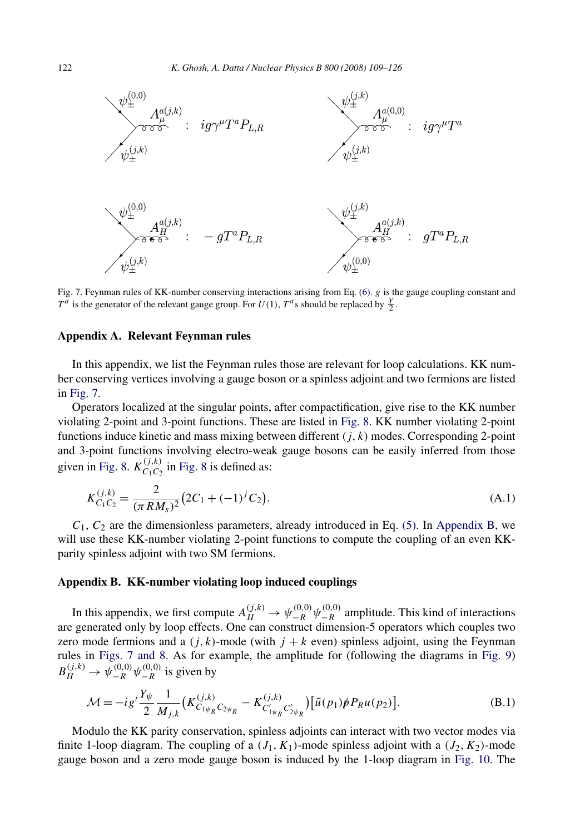<span id="page-13-0"></span>

Fig. 7. Feynman rules of KK-number conserving interactions arising from Eq. [\(6\).](#page-4-0) *g* is the gauge coupling constant and  $T^a$  is the generator of the relevant gauge group. For  $U(1)$ ,  $T^a$ s should be replaced by  $\frac{Y}{2}$ .

### **Appendix A. Relevant Feynman rules**

In this appendix, we list the Feynman rules those are relevant for loop calculations. KK number conserving vertices involving a gauge boson or a spinless adjoint and two fermions are listed in Fig. 7.

Operators localized at the singular points, after compactification, give rise to the KK number violating 2-point and 3-point functions. These are listed in [Fig. 8.](#page-14-0) KK number violating 2-point functions induce kinetic and mass mixing between different *(j,k)* modes. Corresponding 2-point and 3-point functions involving electro-weak gauge bosons can be easily inferred from those given in [Fig. 8.](#page-14-0)  $K_{C_1C_2}^{(j,k)}$  in [Fig. 8](#page-14-0) is defined as:

$$
K_{C_1C_2}^{(j,k)} = \frac{2}{(\pi RM_s)^2} \left(2C_1 + (-1)^j C_2\right).
$$
 (A.1)

 $C_1$ ,  $C_2$  are the dimensionless parameters, already introduced in Eq. [\(5\).](#page-3-0) In Appendix B, we will use these KK-number violating 2-point functions to compute the coupling of an even KKparity spinless adjoint with two SM fermions.

### **Appendix B. KK-number violating loop induced couplings**

In this appendix, we first compute  $A_H^{(j,k)} \to \psi_{-R}^{(0,0)} \psi_{-R}^{(0,0)}$  amplitude. This kind of interactions are generated only by loop effects. One can construct dimension-5 operators which couples two zero mode fermions and a  $(j, k)$ -mode (with  $j + k$  even) spinless adjoint, using the Feynman rules in Figs. 7 and 8. As for example, the amplitude for (following the diagrams in [Fig. 9\)](#page-14-0)  $B_H^{(j,k)} \to \psi_{-R}^{(0,0)} \psi_{-R}^{(0,0)}$  is given by

$$
\mathcal{M} = -ig' \frac{Y_{\psi}}{2} \frac{1}{M_{j,k}} \left( K_{C_{1\psi_{R}}C_{2\psi_{R}}}^{(j,k)} - K_{C'_{1\psi_{R}}C'_{2\psi_{R}}}^{(j,k)} \right) \left[ \bar{u}(p_{1}) \rlap/p P_{R} u(p_{2}) \right]. \tag{B.1}
$$

Modulo the KK parity conservation, spinless adjoints can interact with two vector modes via finite 1-loop diagram. The coupling of a  $(J_1, K_1)$ -mode spinless adjoint with a  $(J_2, K_2)$ -mode gauge boson and a zero mode gauge boson is induced by the 1-loop diagram in [Fig. 10.](#page-14-0) The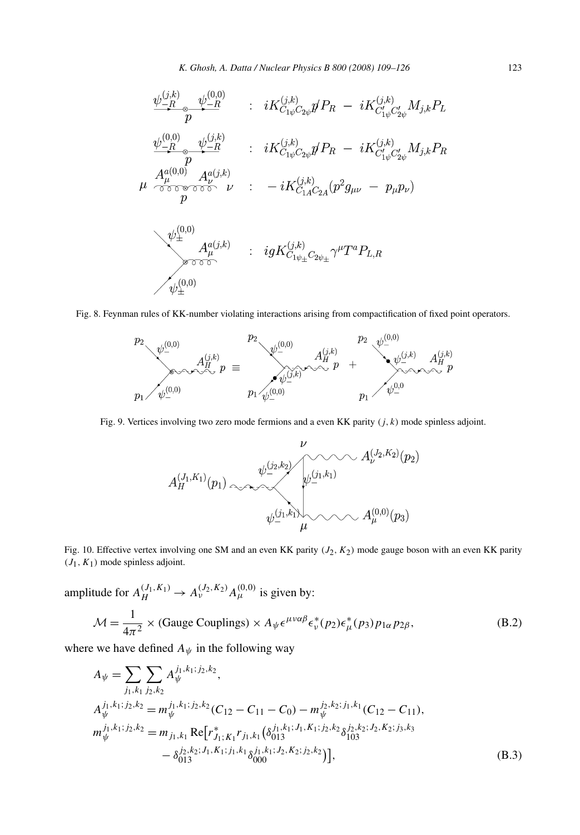<span id="page-14-0"></span>
$$
\psi_{-R}^{(j,k)} \psi_{-R}^{(0,0)} \qquad : \quad iK_{C_{1\psi}C_{2\psi}}^{(j,k)} \eta P_R \ - \ iK_{C'_{1\psi}C'_{2\psi}}^{(j,k)} M_{j,k} P_L
$$
\n
$$
\psi_{-R}^{(0,0)} \psi_{-R}^{(j,k)} \qquad : \quad iK_{C_{1\psi}C_{2\psi}}^{(j,k)} \eta P_R \ - \ iK_{C'_{1\psi}C'_{2\psi}}^{(j,k)} M_{j,k} P_R
$$
\n
$$
\mu \begin{array}{ccc} A_{\mu}^{a(0,0)} & A_{\nu}^{a(j,k)} \\ p \end{array} \qquad : \quad - iK_{C_{1A}C_{2A}}^{(j,k)} (p^2 g_{\mu\nu} \ - \ p_{\mu} p_{\nu})
$$
\n
$$
\psi_{\pm}^{(0,0)} \qquad \qquad \vdots \qquad i g K_{C_{1\psi_{\pm}}C_{2\psi_{\pm}}}^{(j,k)} \gamma^{\mu} T^a P_{L,R}
$$
\n
$$
\psi_{\pm}^{(0,0)}
$$

Fig. 8. Feynman rules of KK-number violating interactions arising from compactification of fixed point operators.



Fig. 9. Vertices involving two zero mode fermions and a even KK parity *(j,k)* mode spinless adjoint.



Fig. 10. Effective vertex involving one SM and an even KK parity *(J*2*,K*2*)* mode gauge boson with an even KK parity  $(J_1, K_1)$  mode spinless adjoint.

amplitude for  $A_H^{(J_1, K_1)} \to A_{\nu}^{(J_2, K_2)} A_{\mu}^{(0,0)}$  is given by:  $\mathcal{M} = \frac{1}{4\pi^2} \times (\text{Gauge Couplings}) \times A_{\psi} \epsilon^{\mu\nu\alpha\beta} \epsilon_{\nu}^*(p_2) \epsilon_{\mu}^*(p_3) p_{1\alpha} p_{2\beta},$ (B.2)

where we have defined  $A_{\psi}$  in the following way

$$
A_{\psi} = \sum_{j_1, k_1} \sum_{j_2, k_2} A_{\psi}^{j_1, k_1; j_2, k_2},
$$
  
\n
$$
A_{\psi}^{j_1, k_1; j_2, k_2} = m_{\psi}^{j_1, k_1; j_2, k_2} (C_{12} - C_{11} - C_0) - m_{\psi}^{j_2, k_2; j_1, k_1} (C_{12} - C_{11}),
$$
  
\n
$$
m_{\psi}^{j_1, k_1; j_2, k_2} = m_{j_1, k_1} \operatorname{Re} [r_{j_1; K_1}^* r_{j_1, k_1} (\delta_{013}^{j_1, k_1; j_1, K_1; j_2, k_2} \delta_{103}^{j_2, k_2; j_2, K_2; j_3, k_3} - \delta_{013}^{j_2, k_2; J_1, K_1; j_1, k_1} \delta_{000}^{j_1, k_1; j_2, K_2; j_2, k_2} )],
$$
\n(B.3)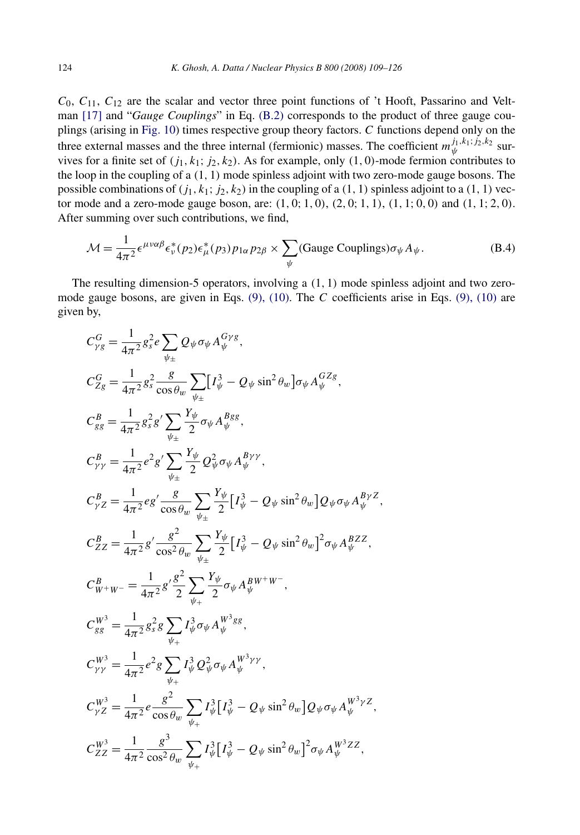$C_0$ ,  $C_{11}$ ,  $C_{12}$  are the scalar and vector three point functions of 't Hooft, Passarino and Veltman [\[17\]](#page-17-0) and "*Gauge Couplings*" in Eq. [\(B.2\)](#page-14-0) corresponds to the product of three gauge couplings (arising in [Fig. 10\)](#page-14-0) times respective group theory factors. *C* functions depend only on the three external masses and the three internal (fermionic) masses. The coefficient  $m_{\psi}^{j_1, k_1; j_2, k_2}$  survives for a finite set of  $(j_1, k_1; j_2, k_2)$ . As for example, only  $(1, 0)$ -mode fermion contributes to the loop in the coupling of a *(*1*,* 1*)* mode spinless adjoint with two zero-mode gauge bosons. The possible combinations of  $(j_1, k_1; j_2, k_2)$  in the coupling of a  $(1, 1)$  spinless adjoint to a  $(1, 1)$  vector mode and a zero-mode gauge boson, are: *(*1*,* 0; 1*,* 0*)*, *(*2*,* 0; 1*,* 1*)*, *(*1*,* 1; 0*,* 0*)* and *(*1*,* 1; 2*,* 0*)*. After summing over such contributions, we find,

$$
\mathcal{M} = \frac{1}{4\pi^2} \epsilon^{\mu\nu\alpha\beta} \epsilon^*_{\nu}(p_2) \epsilon^*_{\mu}(p_3) p_{1\alpha} p_{2\beta} \times \sum_{\psi} (\text{Gauge Couplings}) \sigma_{\psi} A_{\psi}.
$$
 (B.4)

The resulting dimension-5 operators, involving a *(*1*,* 1*)* mode spinless adjoint and two zeromode gauge bosons, are given in Eqs. [\(9\), \(10\).](#page-5-0) The *C* coefficients arise in Eqs. [\(9\), \(10\)](#page-5-0) are given by,

$$
C_{\gamma g}^{G} = \frac{1}{4\pi^{2}} g_{s}^{2} e \sum_{\psi_{\pm}} Q_{\psi} \sigma_{\psi} A_{\psi}^{G\gamma g},
$$
  
\n
$$
C_{Zg}^{G} = \frac{1}{4\pi^{2}} g_{s}^{2} \frac{g}{\cos \theta_{w}} \sum_{\psi_{\pm}} [I_{\psi}^{3} - Q_{\psi} \sin^{2} \theta_{w}] \sigma_{\psi} A_{\psi}^{GZg},
$$
  
\n
$$
C_{gg}^{B} = \frac{1}{4\pi^{2}} g_{s}^{2} g' \sum_{\psi_{\pm}} \frac{Y_{\psi}}{2} \sigma_{\psi} A_{\psi}^{Bgg},
$$
  
\n
$$
C_{\gamma \gamma}^{B} = \frac{1}{4\pi^{2}} e^{2} g' \sum_{\psi_{\pm}} \frac{Y_{\psi}}{2} Q_{\psi}^{2} \sigma_{\psi} A_{\psi}^{B\gamma \gamma},
$$
  
\n
$$
C_{\gamma Z}^{B} = \frac{1}{4\pi^{2}} e^{g'} \frac{g}{\cos \theta_{w}} \sum_{\psi_{\pm}} \frac{Y_{\psi}}{2} [I_{\psi}^{3} - Q_{\psi} \sin^{2} \theta_{w}] Q_{\psi} \sigma_{\psi} A_{\psi}^{B\gamma Z},
$$
  
\n
$$
C_{ZZ}^{B} = \frac{1}{4\pi^{2}} g' \frac{g^{2}}{\cos^{2} \theta_{w}} \sum_{\psi_{\pm}} \frac{Y_{\psi}}{2} [I_{\psi}^{3} - Q_{\psi} \sin^{2} \theta_{w}]^{2} \sigma_{\psi} A_{\psi}^{BZZ},
$$
  
\n
$$
C_{W^{+}W^{-}}^{B} = \frac{1}{4\pi^{2}} g' \frac{g^{2}}{2} \sum_{\psi_{+}} \frac{Y_{\psi}}{2} \sigma_{\psi} A_{\psi}^{BW^{+}W^{-}},
$$
  
\n
$$
C_{gg}^{W^{3}} = \frac{1}{4\pi^{2}} g_{s}^{2} g \sum_{\psi_{+}} I_{\psi}^{3} \sigma_{\psi} A_{\psi}^{W^{3}gg},
$$
  
\n
$$
C_{\gamma \gamma}^{W^{3}} = \frac{1}{4\pi^{2}} e^{2} g \sum_{\
$$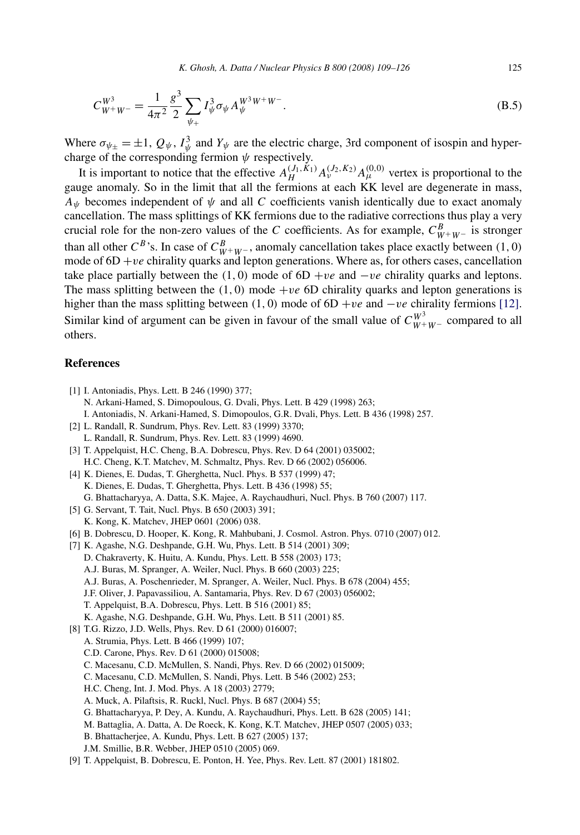<span id="page-16-0"></span>
$$
C_{W^+W^-}^{W^3} = \frac{1}{4\pi^2} \frac{g^3}{2} \sum_{\psi_+} I_{\psi}^3 \sigma_{\psi} A_{\psi}^{W^3 W^+ W^-}.
$$
 (B.5)

Where  $\sigma_{\psi_{\pm}} = \pm 1$ ,  $Q_{\psi}$ ,  $I_{\psi}^{3}$  and  $Y_{\psi}$  are the electric charge, 3rd component of isospin and hypercharge of the corresponding fermion *ψ* respectively.

It is important to notice that the effective  $A_H^{(J_1, K_1)} A_\nu^{(J_2, K_2)} A_\mu^{(0,0)}$  vertex is proportional to the gauge anomaly. So in the limit that all the fermions at each KK level are degenerate in mass,  $A_{\psi}$  becomes independent of  $\psi$  and all *C* coefficients vanish identically due to exact anomaly cancellation. The mass splittings of KK fermions due to the radiative corrections thus play a very crucial role for the non-zero values of the *C* coefficients. As for example,  $C_{W^+W^-}^B$  is stronger than all other  $C^B$ 's. In case of  $C^B_{W^+W^-}$ , anomaly cancellation takes place exactly between (1, 0) mode of  $6D + ve$  chirality quarks and lepton generations. Where as, for others cases, cancellation take place partially between the  $(1, 0)$  mode of  $6D + ve$  and  $-ve$  chirality quarks and leptons. The mass splitting between the  $(1, 0)$  mode +*ve* 6D chirality quarks and lepton generations is higher than the mass splitting between *(*1*,* 0*)* mode of 6D +*ve* and −*ve* chirality fermions [\[12\].](#page-17-0) Similar kind of argument can be given in favour of the small value of  $C_{W^+W^-}^{W^3}$  compared to all others.

# **References**

[1] I. Antoniadis, Phys. Lett. B 246 (1990) 377; N. Arkani-Hamed, S. Dimopoulous, G. Dvali, Phys. Lett. B 429 (1998) 263; I. Antoniadis, N. Arkani-Hamed, S. Dimopoulos, G.R. Dvali, Phys. Lett. B 436 (1998) 257. [2] L. Randall, R. Sundrum, Phys. Rev. Lett. 83 (1999) 3370; L. Randall, R. Sundrum, Phys. Rev. Lett. 83 (1999) 4690. [3] T. Appelquist, H.C. Cheng, B.A. Dobrescu, Phys. Rev. D 64 (2001) 035002; H.C. Cheng, K.T. Matchev, M. Schmaltz, Phys. Rev. D 66 (2002) 056006. [4] K. Dienes, E. Dudas, T. Gherghetta, Nucl. Phys. B 537 (1999) 47; K. Dienes, E. Dudas, T. Gherghetta, Phys. Lett. B 436 (1998) 55; G. Bhattacharyya, A. Datta, S.K. Majee, A. Raychaudhuri, Nucl. Phys. B 760 (2007) 117. [5] G. Servant, T. Tait, Nucl. Phys. B 650 (2003) 391; K. Kong, K. Matchev, JHEP 0601 (2006) 038. [6] B. Dobrescu, D. Hooper, K. Kong, R. Mahbubani, J. Cosmol. Astron. Phys. 0710 (2007) 012. [7] K. Agashe, N.G. Deshpande, G.H. Wu, Phys. Lett. B 514 (2001) 309; D. Chakraverty, K. Huitu, A. Kundu, Phys. Lett. B 558 (2003) 173; A.J. Buras, M. Spranger, A. Weiler, Nucl. Phys. B 660 (2003) 225; A.J. Buras, A. Poschenrieder, M. Spranger, A. Weiler, Nucl. Phys. B 678 (2004) 455; J.F. Oliver, J. Papavassiliou, A. Santamaria, Phys. Rev. D 67 (2003) 056002; T. Appelquist, B.A. Dobrescu, Phys. Lett. B 516 (2001) 85; K. Agashe, N.G. Deshpande, G.H. Wu, Phys. Lett. B 511 (2001) 85. [8] T.G. Rizzo, J.D. Wells, Phys. Rev. D 61 (2000) 016007; A. Strumia, Phys. Lett. B 466 (1999) 107; C.D. Carone, Phys. Rev. D 61 (2000) 015008; C. Macesanu, C.D. McMullen, S. Nandi, Phys. Rev. D 66 (2002) 015009; C. Macesanu, C.D. McMullen, S. Nandi, Phys. Lett. B 546 (2002) 253; H.C. Cheng, Int. J. Mod. Phys. A 18 (2003) 2779; A. Muck, A. Pilaftsis, R. Ruckl, Nucl. Phys. B 687 (2004) 55; G. Bhattacharyya, P. Dey, A. Kundu, A. Raychaudhuri, Phys. Lett. B 628 (2005) 141; M. Battaglia, A. Datta, A. De Roeck, K. Kong, K.T. Matchev, JHEP 0507 (2005) 033; B. Bhattacherjee, A. Kundu, Phys. Lett. B 627 (2005) 137; J.M. Smillie, B.R. Webber, JHEP 0510 (2005) 069. [9] T. Appelquist, B. Dobrescu, E. Ponton, H. Yee, Phys. Rev. Lett. 87 (2001) 181802.